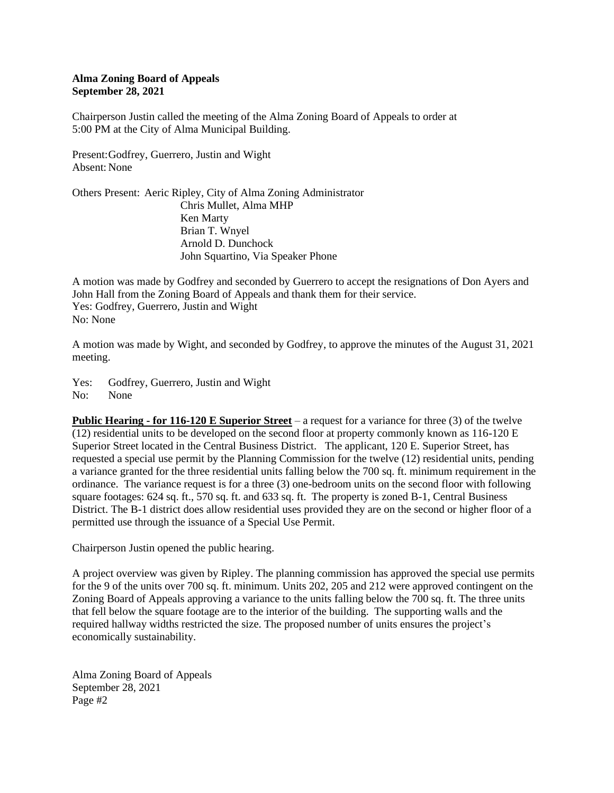## **Alma Zoning Board of Appeals September 28, 2021**

Chairperson Justin called the meeting of the Alma Zoning Board of Appeals to order at 5:00 PM at the City of Alma Municipal Building.

Present:Godfrey, Guerrero, Justin and Wight Absent: None

Others Present: Aeric Ripley, City of Alma Zoning Administrator Chris Mullet, Alma MHP Ken Marty Brian T. Wnyel Arnold D. Dunchock John Squartino, Via Speaker Phone

A motion was made by Godfrey and seconded by Guerrero to accept the resignations of Don Ayers and John Hall from the Zoning Board of Appeals and thank them for their service. Yes: Godfrey, Guerrero, Justin and Wight No: None

A motion was made by Wight, and seconded by Godfrey, to approve the minutes of the August 31, 2021 meeting.

Yes: Godfrey, Guerrero, Justin and Wight No: None

**Public Hearing - for 116-120 E Superior Street** – a request for a variance for three (3) of the twelve (12) residential units to be developed on the second floor at property commonly known as 116-120 E Superior Street located in the Central Business District. The applicant, 120 E. Superior Street, has requested a special use permit by the Planning Commission for the twelve (12) residential units, pending a variance granted for the three residential units falling below the 700 sq. ft. minimum requirement in the ordinance. The variance request is for a three (3) one-bedroom units on the second floor with following square footages: 624 sq. ft., 570 sq. ft. and 633 sq. ft. The property is zoned B-1, Central Business District. The B-1 district does allow residential uses provided they are on the second or higher floor of a permitted use through the issuance of a Special Use Permit.

Chairperson Justin opened the public hearing.

A project overview was given by Ripley. The planning commission has approved the special use permits for the 9 of the units over 700 sq. ft. minimum. Units 202, 205 and 212 were approved contingent on the Zoning Board of Appeals approving a variance to the units falling below the 700 sq. ft. The three units that fell below the square footage are to the interior of the building. The supporting walls and the required hallway widths restricted the size. The proposed number of units ensures the project's economically sustainability.

Alma Zoning Board of Appeals September 28, 2021 Page #2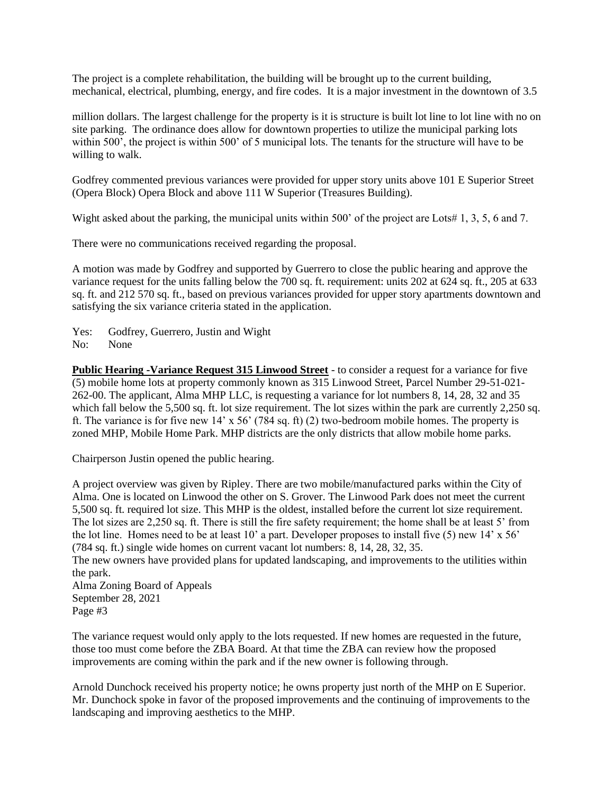The project is a complete rehabilitation, the building will be brought up to the current building, mechanical, electrical, plumbing, energy, and fire codes. It is a major investment in the downtown of 3.5

million dollars. The largest challenge for the property is it is structure is built lot line to lot line with no on site parking. The ordinance does allow for downtown properties to utilize the municipal parking lots within 500', the project is within 500' of 5 municipal lots. The tenants for the structure will have to be willing to walk.

Godfrey commented previous variances were provided for upper story units above 101 E Superior Street (Opera Block) Opera Block and above 111 W Superior (Treasures Building).

Wight asked about the parking, the municipal units within 500' of the project are Lots# 1, 3, 5, 6 and 7.

There were no communications received regarding the proposal.

A motion was made by Godfrey and supported by Guerrero to close the public hearing and approve the variance request for the units falling below the 700 sq. ft. requirement: units 202 at 624 sq. ft., 205 at 633 sq. ft. and 212 570 sq. ft., based on previous variances provided for upper story apartments downtown and satisfying the six variance criteria stated in the application.

Yes: Godfrey, Guerrero, Justin and Wight

No: None

**Public Hearing -Variance Request 315 Linwood Street** - to consider a request for a variance for five (5) mobile home lots at property commonly known as 315 Linwood Street, Parcel Number 29-51-021- 262-00. The applicant, Alma MHP LLC, is requesting a variance for lot numbers 8, 14, 28, 32 and 35 which fall below the 5,500 sq. ft. lot size requirement. The lot sizes within the park are currently 2,250 sq. ft. The variance is for five new 14' x 56' (784 sq. ft) (2) two-bedroom mobile homes. The property is zoned MHP, Mobile Home Park. MHP districts are the only districts that allow mobile home parks.

Chairperson Justin opened the public hearing.

A project overview was given by Ripley. There are two mobile/manufactured parks within the City of Alma. One is located on Linwood the other on S. Grover. The Linwood Park does not meet the current 5,500 sq. ft. required lot size. This MHP is the oldest, installed before the current lot size requirement. The lot sizes are 2,250 sq. ft. There is still the fire safety requirement; the home shall be at least 5' from the lot line. Homes need to be at least 10' a part. Developer proposes to install five (5) new 14' x 56' (784 sq. ft.) single wide homes on current vacant lot numbers: 8, 14, 28, 32, 35.

The new owners have provided plans for updated landscaping, and improvements to the utilities within the park.

Alma Zoning Board of Appeals September 28, 2021 Page #3

The variance request would only apply to the lots requested. If new homes are requested in the future, those too must come before the ZBA Board. At that time the ZBA can review how the proposed improvements are coming within the park and if the new owner is following through.

Arnold Dunchock received his property notice; he owns property just north of the MHP on E Superior. Mr. Dunchock spoke in favor of the proposed improvements and the continuing of improvements to the landscaping and improving aesthetics to the MHP.